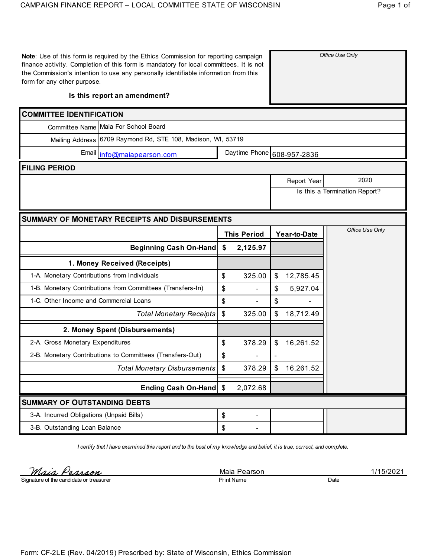| form for any other purpose.                  | Note: Use of this form is required by the Ethics Commission for reporting campaign<br>finance activity. Completion of this form is mandatory for local committees. It is not<br>the Commission's intention to use any personally identifiable information from this |                           |                            |    |                    | Office Use Only               |
|----------------------------------------------|---------------------------------------------------------------------------------------------------------------------------------------------------------------------------------------------------------------------------------------------------------------------|---------------------------|----------------------------|----|--------------------|-------------------------------|
| Is this report an amendment?                 |                                                                                                                                                                                                                                                                     |                           |                            |    |                    |                               |
| <b>COMMITTEE IDENTIFICATION</b>              |                                                                                                                                                                                                                                                                     |                           |                            |    |                    |                               |
|                                              | Committee Name Maia For School Board                                                                                                                                                                                                                                |                           |                            |    |                    |                               |
|                                              | Mailing Address 6709 Raymond Rd, STE 108, Madison, WI, 53719                                                                                                                                                                                                        |                           |                            |    |                    |                               |
|                                              | Email info@maiapearson.com                                                                                                                                                                                                                                          |                           | Daytime Phone 608-957-2836 |    |                    |                               |
| <b>FILING PERIOD</b>                         |                                                                                                                                                                                                                                                                     |                           |                            |    |                    |                               |
|                                              |                                                                                                                                                                                                                                                                     |                           |                            |    | <b>Report Year</b> | 2020                          |
|                                              |                                                                                                                                                                                                                                                                     |                           |                            |    |                    | Is this a Termination Report? |
|                                              |                                                                                                                                                                                                                                                                     |                           |                            |    |                    |                               |
|                                              | <b>SUMMARY OF MONETARY RECEIPTS AND DISBURSEMENTS</b>                                                                                                                                                                                                               |                           |                            |    |                    |                               |
|                                              |                                                                                                                                                                                                                                                                     |                           | <b>This Period</b>         |    | Year-to-Date       | Office Use Only               |
|                                              | <b>Beginning Cash On-Hand</b>                                                                                                                                                                                                                                       | \$                        | 2,125.97                   |    |                    |                               |
|                                              | 1. Money Received (Receipts)                                                                                                                                                                                                                                        |                           |                            |    |                    |                               |
| 1-A. Monetary Contributions from Individuals |                                                                                                                                                                                                                                                                     | \$                        | 325.00                     | \$ | 12,785.45          |                               |
|                                              | 1-B. Monetary Contributions from Committees (Transfers-In)                                                                                                                                                                                                          | \$                        |                            | \$ | 5,927.04           |                               |
| 1-C. Other Income and Commercial Loans       |                                                                                                                                                                                                                                                                     | \$                        |                            | \$ |                    |                               |
|                                              | <b>Total Monetary Receipts</b>                                                                                                                                                                                                                                      | \$                        | 325.00                     | \$ | 18,712.49          |                               |
|                                              | 2. Money Spent (Disbursements)                                                                                                                                                                                                                                      |                           |                            |    |                    |                               |
| 2-A. Gross Monetary Expenditures             |                                                                                                                                                                                                                                                                     | \$                        | 378.29                     | \$ | 16,261.52          |                               |
|                                              | 2-B. Monetary Contributions to Committees (Transfers-Out)                                                                                                                                                                                                           | \$                        |                            |    |                    |                               |
|                                              | <b>Total Monetary Disbursements</b>                                                                                                                                                                                                                                 | $\boldsymbol{\mathsf{S}}$ | 378.29                     |    | 16,261.52          |                               |
|                                              |                                                                                                                                                                                                                                                                     |                           |                            |    |                    |                               |
|                                              | Ending Cash On-Hand   \$                                                                                                                                                                                                                                            |                           | 2,072.68                   |    |                    |                               |
| <b>SUMMARY OF OUTSTANDING DEBTS</b>          |                                                                                                                                                                                                                                                                     |                           |                            |    |                    |                               |
| 3-A. Incurred Obligations (Unpaid Bills)     |                                                                                                                                                                                                                                                                     | \$                        |                            |    |                    |                               |

*I certify that I have examined this report and to the best of my knowledge and belief, it is true, correct, and complete.*

Maia Pearson

Signature of the candidate or treasurer

Print Name Date

Maia Pearson 1/15/2021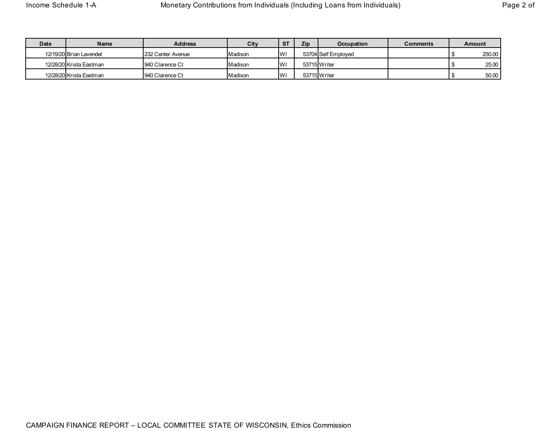| Date | Name                    | <b>Address</b>    | City    | <b>ST</b>  | Zip | <b>Occupation</b>   | Comments | Amount |
|------|-------------------------|-------------------|---------|------------|-----|---------------------|----------|--------|
|      | 12/19/20 Brian Lavendel | 232 Center Avenue | Madison | <b>IWI</b> |     | 53704 Self Emploved |          | 250.00 |
|      | 12/28/20 Krista Eastman | 940 Clarence Ct   | Madison | <b>IW</b>  |     | 53715 Writer        |          | 25.00  |
|      | 12/28/20 Krista Eastman | 940 Clarence Ct   | Madison | <b>W</b>   |     | 53715 Writer        |          | 50.00  |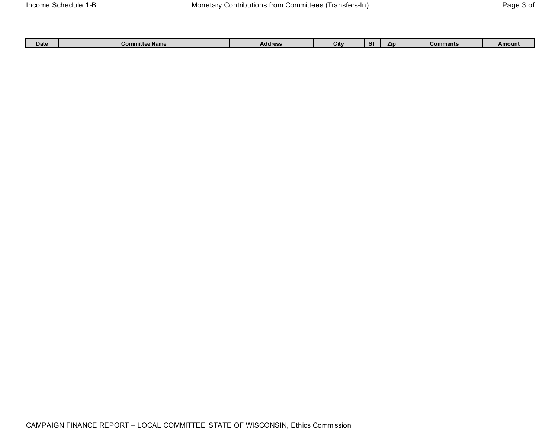| <b>Date</b> | .<br>e Name<br>™mitte<br>⊸om∽ | <b>Address</b> | . .<br>υĸ | $\sim$ | Zip | Comments | <b>Amoun</b><br>_______ |
|-------------|-------------------------------|----------------|-----------|--------|-----|----------|-------------------------|
|             |                               |                |           |        |     |          |                         |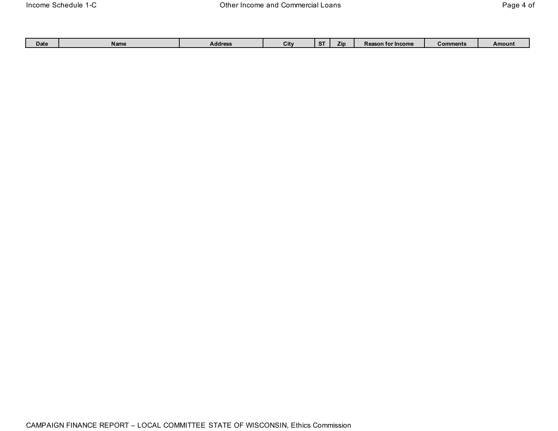| Date | Name | Address | City | $\sim$<br>$\mathbf{z}$ | חוי | ™ Income<br>$\mathbf{v}$<br>son tor<br>Ne | Comments | Amoun. |
|------|------|---------|------|------------------------|-----|-------------------------------------------|----------|--------|
|      |      |         |      |                        |     |                                           |          |        |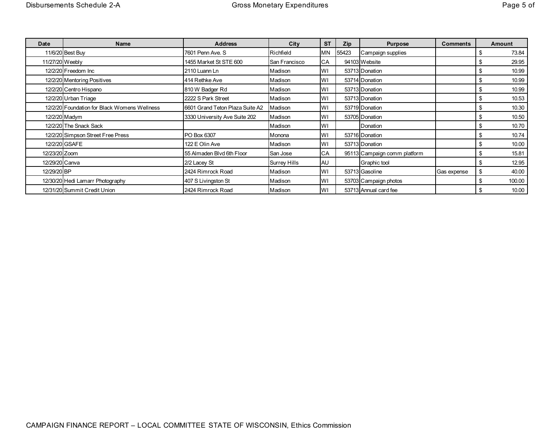| Date           | <b>Name</b>                                  | <b>Address</b>                  | City                | <b>ST</b> | Zip   | <b>Purpose</b>               | <b>Comments</b> |     | <b>Amount</b> |
|----------------|----------------------------------------------|---------------------------------|---------------------|-----------|-------|------------------------------|-----------------|-----|---------------|
|                | 11/6/20 Best Buy                             | 7601 Penn Ave. S                | Richfield           | <b>MN</b> | 55423 | Campaign supplies            |                 |     | 73.84         |
|                | 11/27/20 Weebly                              | 1455 Market St STE 600          | San Francisco       | CA        |       | 94103 Website                |                 |     | 29.95         |
|                | 12/2/20 Freedom Inc                          | 2110 Luann Ln                   | Madison             | WI        |       | 53713 Donation               |                 |     | 10.99         |
|                | 12/2/20 Mentoring Positives                  | 414 Rethke Ave                  | Madison             | WI        |       | 53714 Donation               |                 |     | 10.99         |
|                | 12/2/20 Centro Hispano                       | 810 W Badger Rd                 | Madison             | WI        |       | 53713 Donation               |                 |     | 10.99         |
|                | 12/2/20 Urban Triage                         | 2222 S Park Street              | Madison             | WI        |       | 53713 Donation               |                 | \$. | 10.53         |
|                | 12/2/20 Foundation for Black Womens Wellness | 6601 Grand Teton Plaza Suite A2 | Madison             | WI        |       | 53719 Donation               |                 |     | 10.30         |
|                | 12/2/20 Madym                                | 3330 University Ave Suite 202   | Madison             | WI        |       | 53705 Donation               |                 |     | 10.50         |
|                | 12/2/20 The Snack Sack                       |                                 | Madison             | WI        |       | Donation                     |                 |     | 10.70         |
|                | 12/2/20 Simpson Street Free Press            | PO Box 6307                     | Monona              | WI        |       | 53716 Donation               |                 |     | 10.74         |
|                | 12/2/20 GSAFE                                | 122 E Olin Ave                  | Madison             | WI        |       | 53713 Donation               |                 |     | 10.00         |
| 12/23/20 Zoom  |                                              | 55 Almaden Blvd 6th Floor       | San Jose            | CA        |       | 95113 Campaign comm platform |                 |     | 15.81         |
| 12/29/20 Canva |                                              | 2/2 Lacey St                    | <b>Surrey Hills</b> | <b>AU</b> |       | Graphic tool                 |                 |     | 12.95         |
| 12/29/20 BP    |                                              | 2424 Rimrock Road               | Madison             | WI        |       | 53713 Gasoline               | Gas expense     | \$  | 40.00         |
|                | 12/30/20 Hedi Lamarr Photography             | 407 S Livingston St             | Madison             | WI        |       | 53703 Campaign photos        |                 | \$  | 100.00        |
|                | 12/31/20 Summit Credit Union                 | 2424 Rimrock Road               | Madison             | WI        |       | 53713 Annual card fee        |                 |     | 10.00         |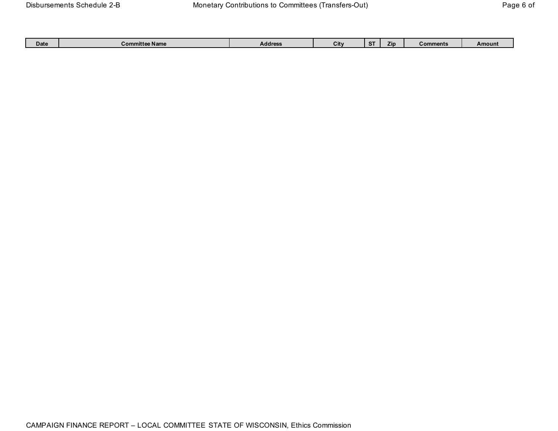| Date | <b>Amittee Name</b><br>cor | <b>Address</b> | $\cdots$<br>ITV<br>vil. | Zin | Comments | Amount |
|------|----------------------------|----------------|-------------------------|-----|----------|--------|
|      |                            |                |                         |     |          |        |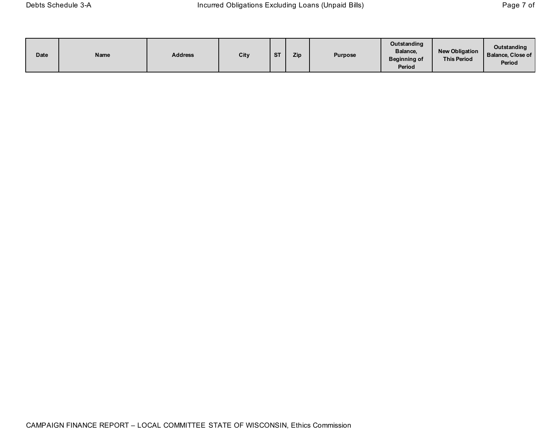| Date | Name | <b>Address</b> | City | <b>CT</b> | Zip | <b>Purpose</b> | Outstanding<br>Balance,<br><b>Beginning of</b><br>Period | New Obligation  <br><b>This Period</b> | <b>Outstanding</b><br><b>Balance, Close of</b><br>Period |
|------|------|----------------|------|-----------|-----|----------------|----------------------------------------------------------|----------------------------------------|----------------------------------------------------------|
|------|------|----------------|------|-----------|-----|----------------|----------------------------------------------------------|----------------------------------------|----------------------------------------------------------|